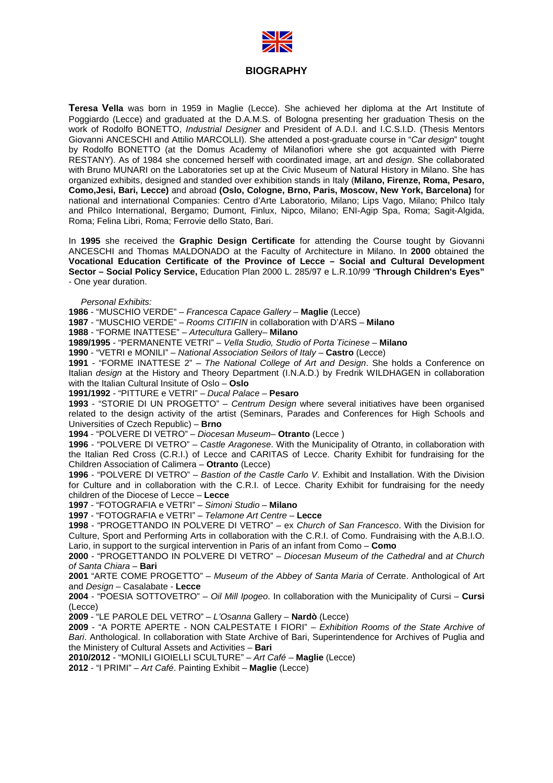

## **BIOGRAPHY**

Teresa Vella was born in 1959 in Maglie (Lecce). She achieved her diploma at the Art Institute of Poggiardo (Lecce) and graduated at the D.A.M.S. of Bologna presenting her graduation Thesis on the work of Rodolfo BONETTO, *Industrial Designer* and President of A.D.I. and I.C.S.I.D. (Thesis Mentors Giovanni ANCESCHI and Attilio MARCOLLI). She attended a post-graduate course in "Car design" tought by Rodolfo BONETTO (at the Domus Academy of Milanofiori where she got acquainted with Pierre RESTANY). As of 1984 she concerned herself with coordinated image, art and design. She collaborated with Bruno MUNARI on the Laboratories set up at the Civic Museum of Natural History in Milano. She has organized exhibits, designed and standed over exhibition stands in Italy (**Milano, Firenze, Roma, Pesaro, Como,Jesi, Bari, Lecce)** and abroad **(Oslo, Cologne, Brno, Paris, Moscow, New Y , York, Barcelona)** for national and international Companies: Centro d'Arte Laboratorio, Milano; Lips Vago, Milano; Philco Italy and Philco International, Bergamo; Dumont, Finlux, Nipco, Milano; ENI-Agip Spa, Roma; Sagit-Algida, Roma; Felina Libri, Roma; Ferrovie dello Stato, Bari. ;

In 1995 she received the Graphic Design Certificate for attending the Course tought by Giovanni ANCESCHI and Thomas MALDONADO at the Faculty of Architecture in Milano. In **2000** obtained the **Vocational Education Certificate of the Province of Lecce – Social and Cultural Development Sector – Social Policy Service, ,** Education Plan 2000 L. 285/97 e L.R.10/99 "**Through Children's Eyes Eyes"** - One year duration.

Personal Exhibits:

**1986** - "MUSCHIO VERDE" – Francesca Capace Gallery – **Maglie** (Lecce)

**1987** - "MUSCHIO VERDE" – Rooms Rooms CITIFIN in collaboration with D'ARS – **Milano**

**1988** - "FORME INATTESE" – Artecultura Gallery– **Milano**

**1989/1995** - "PERMANENTE VETRI" – Vella Studio, Studio of Porta Ticinese – **Milano**

**1990** - "VETRI e MONILI" – National Association Association Seilors of Italy – **Castro** (Lecce)

**1991** - "FORME INATTESE 2" – The National College of Art and Design. She holds a Conference on Italian *design* at the History and Theory Department (I.N.A.D.) by Fredrik WILDHAGEN in collaboration with the Italian Cultural Insitute of Oslo – **Oslo**

**1991/1992** - "PITTURE e VETRI" – Ducal Palace – **Pesaro** 

**1993** - "STORIE DI UN PROGETTO" – Centrum Design where several initiatives have been organised related to the design activity of the artist (Seminars, Parades and Conferences for High Schools and Universities of Czech Republic) – **Brno**

**1994** - "POLVERE DI VETRO" – Diocesan Museum– **Otranto** (Lecce )

1996 - "POLVERE DI VETRO" - Castle Aragonese. With the Municipality of Otranto, in collaboration with the Italian Red Cross (C.R.I.) of Lecce and CARITAS of Lecce. Charity Exhibit for fundraising for the Children Association of Calimera – **Otranto** (Lecce)

**1996** - "POLVERE DI VETRO" – Bastion of the Castle Carlo V. Exhibit and Installation. With the Division for Culture and in collaboration with the C.R.I. of Lecce. Charity Exhibit for fundraising for the needy children of the Diocese of Lecce – **Lecce** 

**1997** - "FOTOGRAFIA e VETRI" – Simoni Studio – **Milano**

**1997** - "FOTOGRAFIA e VETRI" – Telamone Art Centre – **Lecce** 

1998 - "PROGETTANDO IN POLVERE DI VETRO" - ex Church of San Francesco. With the Division for Culture, Sport and Performing Arts in collaboration with the C.R.I. of Como. Fundraising with the A.B.I.O. Lario, in support to the surgical intervention in Paris of an infant from Como – Como

2000 - "PROGETTANDO IN POLVERE DI VETRO" - Diocesan Museum of the Cathedral and at Church of Santa Chiara – **Bari** 

2001 "ARTE COME PROGETTO" - Museum of the Abbey of Santa Maria of Cerrate. Anthological of Art and Design – Casalabate - **Lecce Lecce** 

2004 - "POESIA SOTTOVETRO" - Oil Mill Ipogeo. In collaboration with the Municipality of Cursi - Cursi (Lecce)

2009 - "LE PAROLE DEL VETRO" – L'Osanna Gallery – **Nardò** (Lecce)

2009 - "A PORTE APERTE - NON CALPESTATE I FIORI" - Exhibition Rooms of the State Archive of Bari. Anthological. In collaboration with State Archive of Bari, Superintendence for Archives of Puglia and the Ministery of Cultural Assets and Activities – **Bari**

**2010/2012** - "MONILI GIOIELLI SCULTURE" – Art Café – **Maglie** (Lecce)

**2012** - "I PRIMI" – Art Café. Painting Exhibit Exhibit – **Maglie** (Lecce)